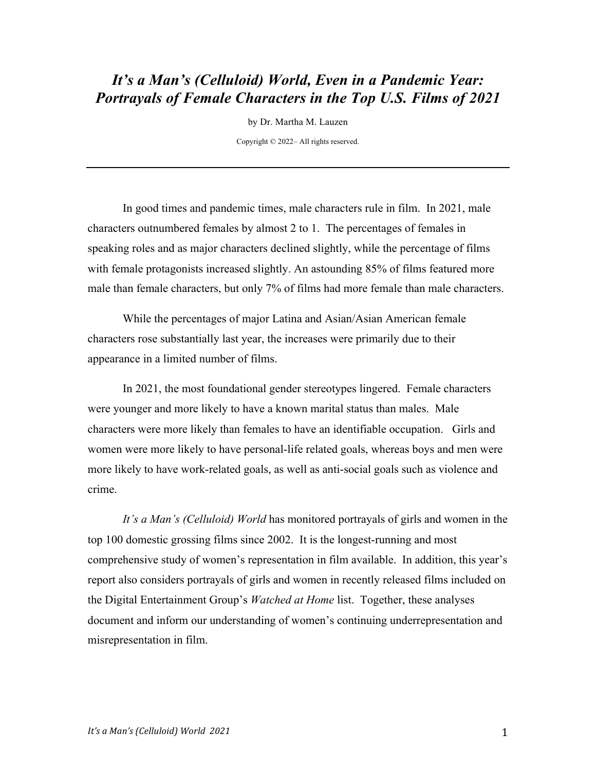# *It's a Man's (Celluloid) World, Even in a Pandemic Year: Portrayals of Female Characters in the Top U.S. Films of 2021*

by Dr. Martha M. Lauzen

Copyright © 2022– All rights reserved.

In good times and pandemic times, male characters rule in film. In 2021, male characters outnumbered females by almost 2 to 1. The percentages of females in speaking roles and as major characters declined slightly, while the percentage of films with female protagonists increased slightly. An astounding 85% of films featured more male than female characters, but only 7% of films had more female than male characters.

While the percentages of major Latina and Asian/Asian American female characters rose substantially last year, the increases were primarily due to their appearance in a limited number of films.

In 2021, the most foundational gender stereotypes lingered. Female characters were younger and more likely to have a known marital status than males. Male characters were more likely than females to have an identifiable occupation. Girls and women were more likely to have personal-life related goals, whereas boys and men were more likely to have work-related goals, as well as anti-social goals such as violence and crime.

*It's a Man's (Celluloid) World* has monitored portrayals of girls and women in the top 100 domestic grossing films since 2002. It is the longest-running and most comprehensive study of women's representation in film available. In addition, this year's report also considers portrayals of girls and women in recently released films included on the Digital Entertainment Group's *Watched at Home* list. Together, these analyses document and inform our understanding of women's continuing underrepresentation and misrepresentation in film.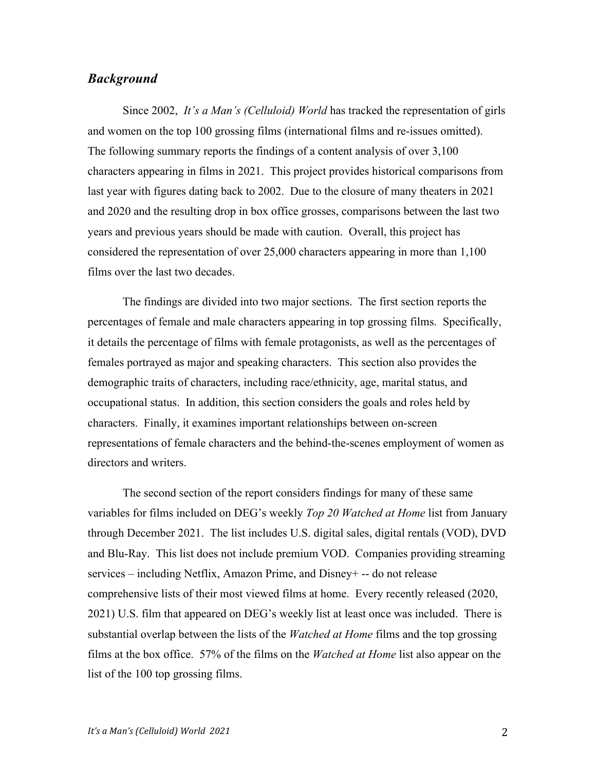## *Background*

Since 2002, *It's a Man's (Celluloid) World* has tracked the representation of girls and women on the top 100 grossing films (international films and re-issues omitted). The following summary reports the findings of a content analysis of over 3,100 characters appearing in films in 2021. This project provides historical comparisons from last year with figures dating back to 2002. Due to the closure of many theaters in 2021 and 2020 and the resulting drop in box office grosses, comparisons between the last two years and previous years should be made with caution. Overall, this project has considered the representation of over 25,000 characters appearing in more than 1,100 films over the last two decades.

The findings are divided into two major sections. The first section reports the percentages of female and male characters appearing in top grossing films. Specifically, it details the percentage of films with female protagonists, as well as the percentages of females portrayed as major and speaking characters. This section also provides the demographic traits of characters, including race/ethnicity, age, marital status, and occupational status. In addition, this section considers the goals and roles held by characters. Finally, it examines important relationships between on-screen representations of female characters and the behind-the-scenes employment of women as directors and writers.

The second section of the report considers findings for many of these same variables for films included on DEG's weekly *Top 20 Watched at Home* list from January through December 2021. The list includes U.S. digital sales, digital rentals (VOD), DVD and Blu-Ray. This list does not include premium VOD. Companies providing streaming services – including Netflix, Amazon Prime, and Disney+ -- do not release comprehensive lists of their most viewed films at home. Every recently released (2020, 2021) U.S. film that appeared on DEG's weekly list at least once was included. There is substantial overlap between the lists of the *Watched at Home* films and the top grossing films at the box office. 57% of the films on the *Watched at Home* list also appear on the list of the 100 top grossing films.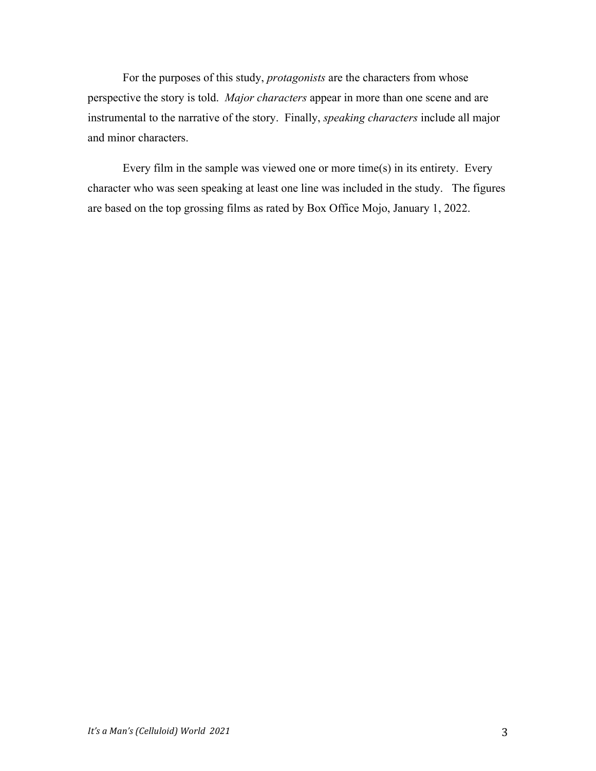For the purposes of this study, *protagonists* are the characters from whose perspective the story is told. *Major characters* appear in more than one scene and are instrumental to the narrative of the story. Finally, *speaking characters* include all major and minor characters.

Every film in the sample was viewed one or more time(s) in its entirety. Every character who was seen speaking at least one line was included in the study. The figures are based on the top grossing films as rated by Box Office Mojo, January 1, 2022.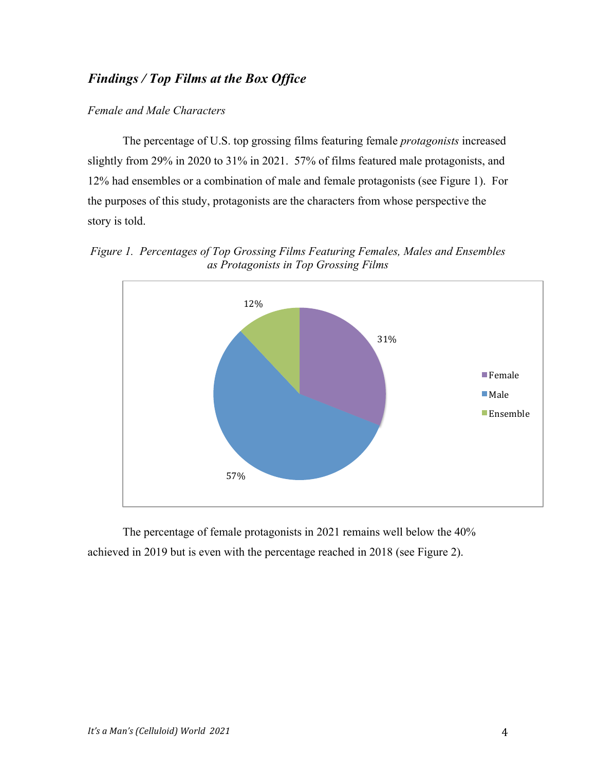## *Findings / Top Films at the Box Office*

## *Female and Male Characters*

The percentage of U.S. top grossing films featuring female *protagonists* increased slightly from 29% in 2020 to 31% in 2021. 57% of films featured male protagonists, and 12% had ensembles or a combination of male and female protagonists (see Figure 1). For the purposes of this study, protagonists are the characters from whose perspective the story is told.

*Figure 1. Percentages of Top Grossing Films Featuring Females, Males and Ensembles as Protagonists in Top Grossing Films*



The percentage of female protagonists in 2021 remains well below the 40% achieved in 2019 but is even with the percentage reached in 2018 (see Figure 2).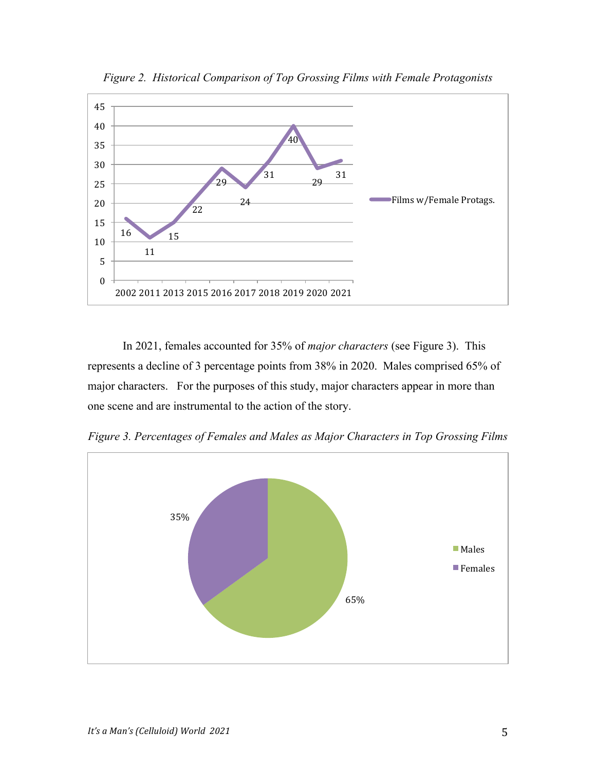

*Figure 2. Historical Comparison of Top Grossing Films with Female Protagonists*

In 2021, females accounted for 35% of *major characters* (see Figure 3). This represents a decline of 3 percentage points from 38% in 2020. Males comprised 65% of major characters. For the purposes of this study, major characters appear in more than one scene and are instrumental to the action of the story.

*Figure 3. Percentages of Females and Males as Major Characters in Top Grossing Films*

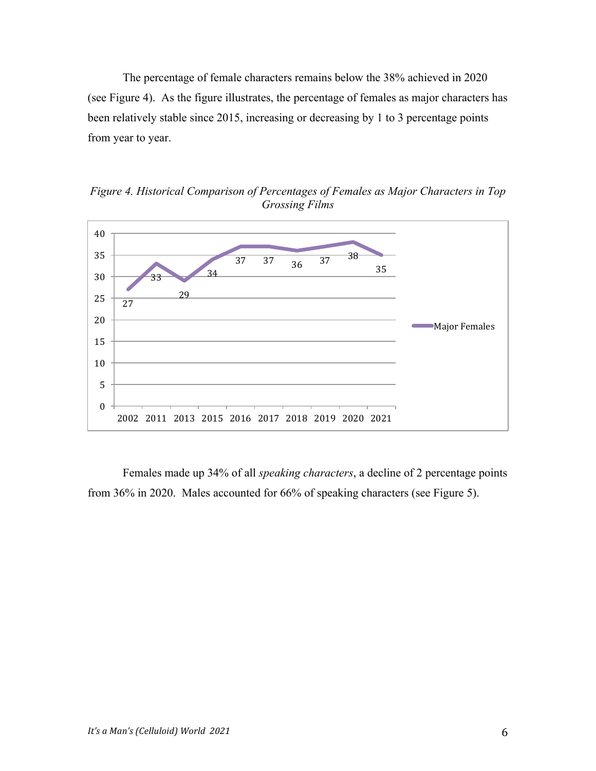The percentage of female characters remains below the 38% achieved in 2020 (see Figure 4). As the figure illustrates, the percentage of females as major characters has been relatively stable since 2015, increasing or decreasing by 1 to 3 percentage points from year to year.



*Figure 4. Historical Comparison of Percentages of Females as Major Characters in Top Grossing Films*

Females made up 34% of all *speaking characters*, a decline of 2 percentage points from 36% in 2020. Males accounted for 66% of speaking characters (see Figure 5).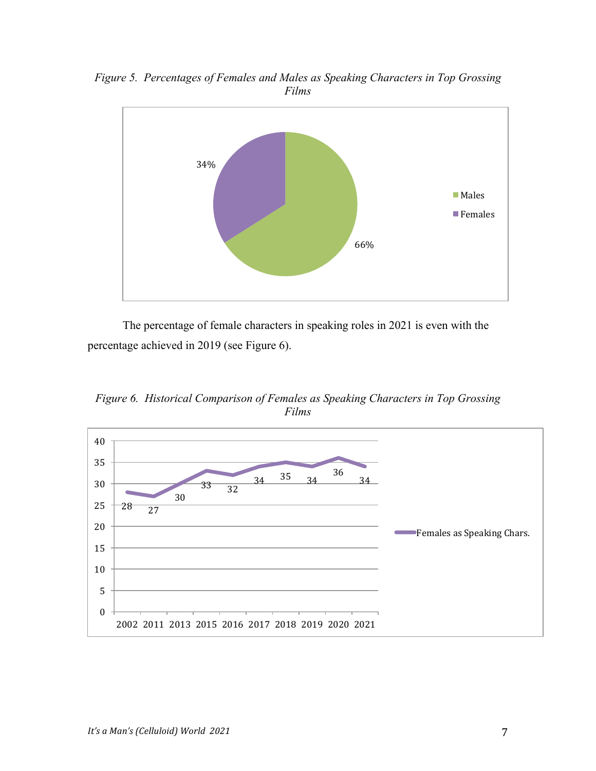

*Figure 5. Percentages of Females and Males as Speaking Characters in Top Grossing Films*

The percentage of female characters in speaking roles in 2021 is even with the percentage achieved in 2019 (see Figure 6).

*Figure 6. Historical Comparison of Females as Speaking Characters in Top Grossing Films*

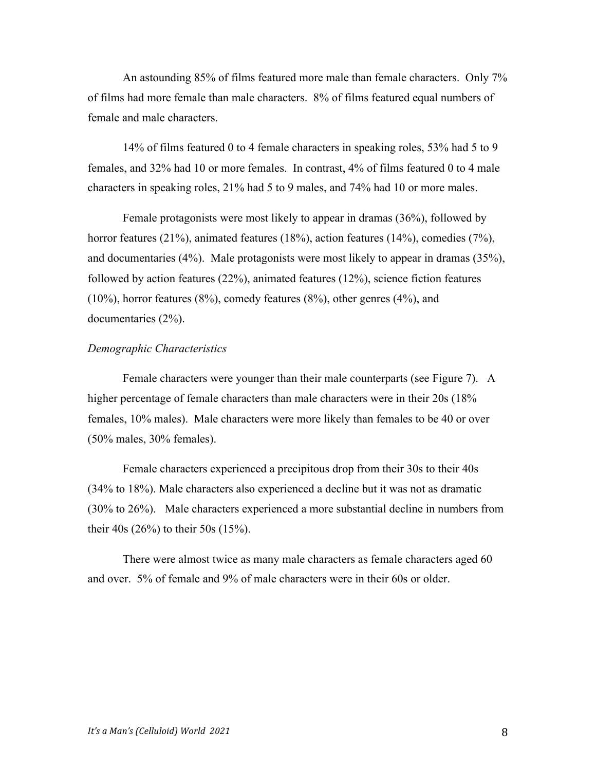An astounding 85% of films featured more male than female characters. Only 7% of films had more female than male characters. 8% of films featured equal numbers of female and male characters.

14% of films featured 0 to 4 female characters in speaking roles, 53% had 5 to 9 females, and 32% had 10 or more females. In contrast, 4% of films featured 0 to 4 male characters in speaking roles, 21% had 5 to 9 males, and 74% had 10 or more males.

Female protagonists were most likely to appear in dramas (36%), followed by horror features (21%), animated features (18%), action features (14%), comedies (7%), and documentaries (4%). Male protagonists were most likely to appear in dramas (35%), followed by action features (22%), animated features (12%), science fiction features (10%), horror features (8%), comedy features (8%), other genres (4%), and documentaries (2%).

#### *Demographic Characteristics*

Female characters were younger than their male counterparts (see Figure 7). A higher percentage of female characters than male characters were in their 20s (18% females, 10% males). Male characters were more likely than females to be 40 or over (50% males, 30% females).

Female characters experienced a precipitous drop from their 30s to their 40s (34% to 18%). Male characters also experienced a decline but it was not as dramatic (30% to 26%). Male characters experienced a more substantial decline in numbers from their 40s (26%) to their 50s (15%).

There were almost twice as many male characters as female characters aged 60 and over. 5% of female and 9% of male characters were in their 60s or older.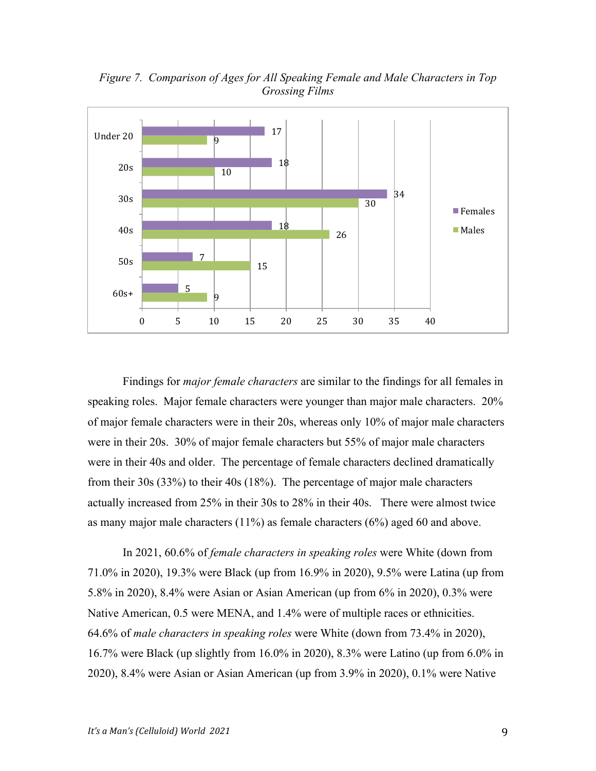

*Figure 7. Comparison of Ages for All Speaking Female and Male Characters in Top Grossing Films*

Findings for *major female characters* are similar to the findings for all females in speaking roles. Major female characters were younger than major male characters. 20% of major female characters were in their 20s, whereas only 10% of major male characters were in their 20s. 30% of major female characters but 55% of major male characters were in their 40s and older. The percentage of female characters declined dramatically from their 30s (33%) to their 40s (18%). The percentage of major male characters actually increased from 25% in their 30s to 28% in their 40s. There were almost twice as many major male characters (11%) as female characters (6%) aged 60 and above.

In 2021, 60.6% of *female characters in speaking roles* were White (down from 71.0% in 2020), 19.3% were Black (up from 16.9% in 2020), 9.5% were Latina (up from 5.8% in 2020), 8.4% were Asian or Asian American (up from 6% in 2020), 0.3% were Native American, 0.5 were MENA, and 1.4% were of multiple races or ethnicities. 64.6% of *male characters in speaking roles* were White (down from 73.4% in 2020), 16.7% were Black (up slightly from 16.0% in 2020), 8.3% were Latino (up from 6.0% in 2020), 8.4% were Asian or Asian American (up from 3.9% in 2020), 0.1% were Native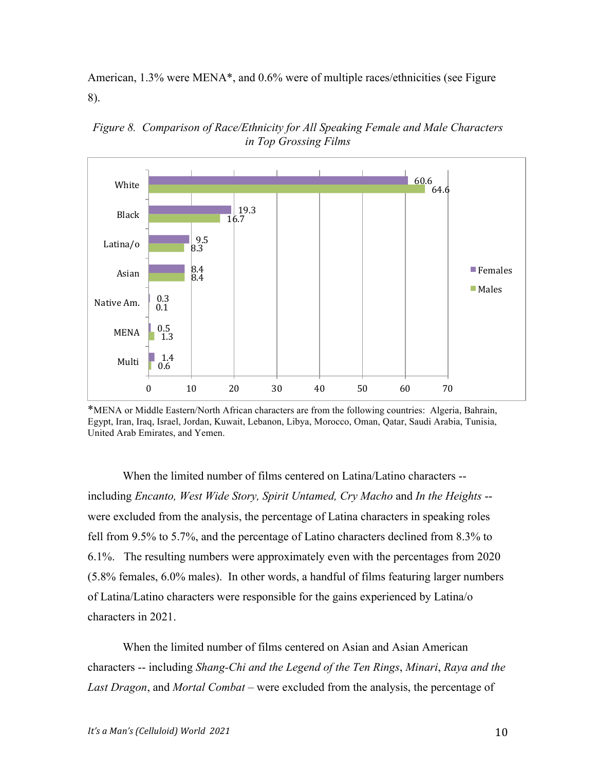American, 1.3% were MENA\*, and 0.6% were of multiple races/ethnicities (see Figure 8).



*Figure 8. Comparison of Race/Ethnicity for All Speaking Female and Male Characters in Top Grossing Films*

\*MENA or Middle Eastern/North African characters are from the following countries: Algeria, Bahrain, Egypt, Iran, Iraq, Israel, Jordan, Kuwait, Lebanon, Libya, Morocco, Oman, Qatar, Saudi Arabia, Tunisia, United Arab Emirates, and Yemen.

When the limited number of films centered on Latina/Latino characters - including *Encanto, West Wide Story, Spirit Untamed, Cry Macho* and *In the Heights* - were excluded from the analysis, the percentage of Latina characters in speaking roles fell from 9.5% to 5.7%, and the percentage of Latino characters declined from 8.3% to 6.1%. The resulting numbers were approximately even with the percentages from 2020 (5.8% females, 6.0% males). In other words, a handful of films featuring larger numbers of Latina/Latino characters were responsible for the gains experienced by Latina/o characters in 2021.

When the limited number of films centered on Asian and Asian American characters -- including *Shang-Chi and the Legend of the Ten Rings*, *Minari*, *Raya and the Last Dragon*, and *Mortal Combat* – were excluded from the analysis, the percentage of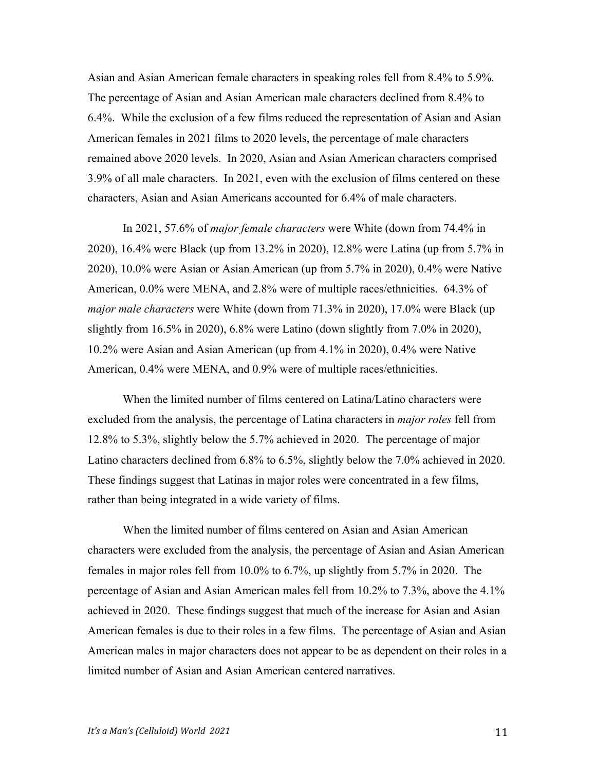Asian and Asian American female characters in speaking roles fell from 8.4% to 5.9%. The percentage of Asian and Asian American male characters declined from 8.4% to 6.4%. While the exclusion of a few films reduced the representation of Asian and Asian American females in 2021 films to 2020 levels, the percentage of male characters remained above 2020 levels. In 2020, Asian and Asian American characters comprised 3.9% of all male characters. In 2021, even with the exclusion of films centered on these characters, Asian and Asian Americans accounted for 6.4% of male characters.

In 2021, 57.6% of *major female characters* were White (down from 74.4% in 2020), 16.4% were Black (up from 13.2% in 2020), 12.8% were Latina (up from 5.7% in 2020), 10.0% were Asian or Asian American (up from 5.7% in 2020), 0.4% were Native American, 0.0% were MENA, and 2.8% were of multiple races/ethnicities. 64.3% of *major male characters* were White (down from 71.3% in 2020), 17.0% were Black (up slightly from  $16.5\%$  in 2020), 6.8% were Latino (down slightly from 7.0% in 2020), 10.2% were Asian and Asian American (up from 4.1% in 2020), 0.4% were Native American, 0.4% were MENA, and 0.9% were of multiple races/ethnicities.

When the limited number of films centered on Latina/Latino characters were excluded from the analysis, the percentage of Latina characters in *major roles* fell from 12.8% to 5.3%, slightly below the 5.7% achieved in 2020. The percentage of major Latino characters declined from 6.8% to 6.5%, slightly below the 7.0% achieved in 2020. These findings suggest that Latinas in major roles were concentrated in a few films, rather than being integrated in a wide variety of films.

When the limited number of films centered on Asian and Asian American characters were excluded from the analysis, the percentage of Asian and Asian American females in major roles fell from 10.0% to 6.7%, up slightly from 5.7% in 2020. The percentage of Asian and Asian American males fell from 10.2% to 7.3%, above the 4.1% achieved in 2020. These findings suggest that much of the increase for Asian and Asian American females is due to their roles in a few films. The percentage of Asian and Asian American males in major characters does not appear to be as dependent on their roles in a limited number of Asian and Asian American centered narratives.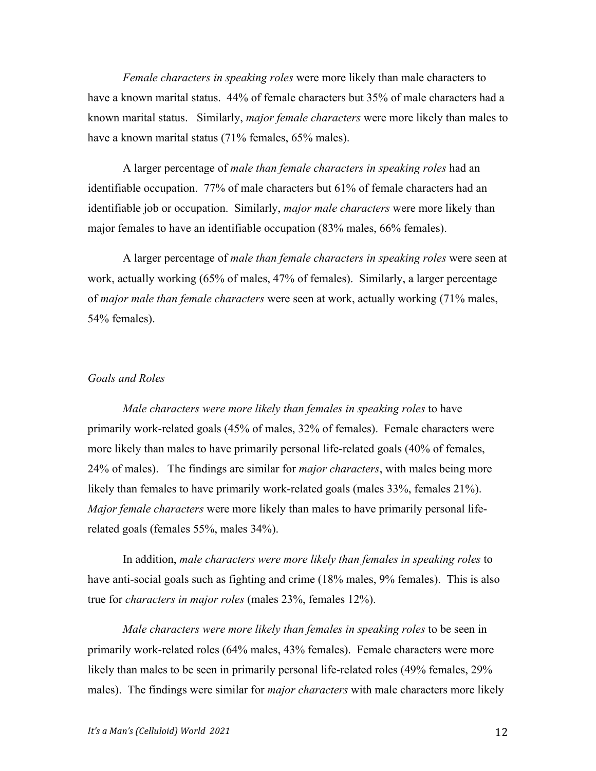*Female characters in speaking roles* were more likely than male characters to have a known marital status. 44% of female characters but 35% of male characters had a known marital status. Similarly, *major female characters* were more likely than males to have a known marital status (71% females, 65% males).

A larger percentage of *male than female characters in speaking roles* had an identifiable occupation. 77% of male characters but 61% of female characters had an identifiable job or occupation. Similarly, *major male characters* were more likely than major females to have an identifiable occupation (83% males, 66% females).

A larger percentage of *male than female characters in speaking roles* were seen at work, actually working (65% of males, 47% of females). Similarly, a larger percentage of *major male than female characters* were seen at work, actually working (71% males, 54% females).

#### *Goals and Roles*

*Male characters were more likely than females in speaking roles* to have primarily work-related goals (45% of males, 32% of females). Female characters were more likely than males to have primarily personal life-related goals (40% of females, 24% of males). The findings are similar for *major characters*, with males being more likely than females to have primarily work-related goals (males 33%, females 21%). *Major female characters* were more likely than males to have primarily personal liferelated goals (females 55%, males 34%).

In addition, *male characters were more likely than females in speaking roles* to have anti-social goals such as fighting and crime (18% males, 9% females). This is also true for *characters in major roles* (males 23%, females 12%).

*Male characters were more likely than females in speaking roles* to be seen in primarily work-related roles (64% males, 43% females). Female characters were more likely than males to be seen in primarily personal life-related roles (49% females, 29% males). The findings were similar for *major characters* with male characters more likely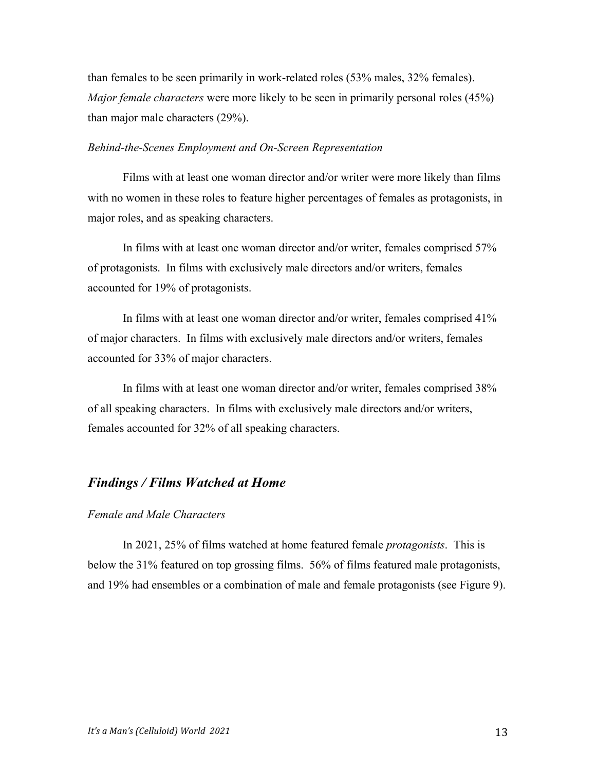than females to be seen primarily in work-related roles (53% males, 32% females). *Major female characters* were more likely to be seen in primarily personal roles (45%) than major male characters (29%).

#### *Behind-the-Scenes Employment and On-Screen Representation*

Films with at least one woman director and/or writer were more likely than films with no women in these roles to feature higher percentages of females as protagonists, in major roles, and as speaking characters.

In films with at least one woman director and/or writer, females comprised 57% of protagonists. In films with exclusively male directors and/or writers, females accounted for 19% of protagonists.

In films with at least one woman director and/or writer, females comprised 41% of major characters. In films with exclusively male directors and/or writers, females accounted for 33% of major characters.

In films with at least one woman director and/or writer, females comprised 38% of all speaking characters. In films with exclusively male directors and/or writers, females accounted for 32% of all speaking characters.

### *Findings / Films Watched at Home*

### *Female and Male Characters*

In 2021, 25% of films watched at home featured female *protagonists*. This is below the 31% featured on top grossing films. 56% of films featured male protagonists, and 19% had ensembles or a combination of male and female protagonists (see Figure 9).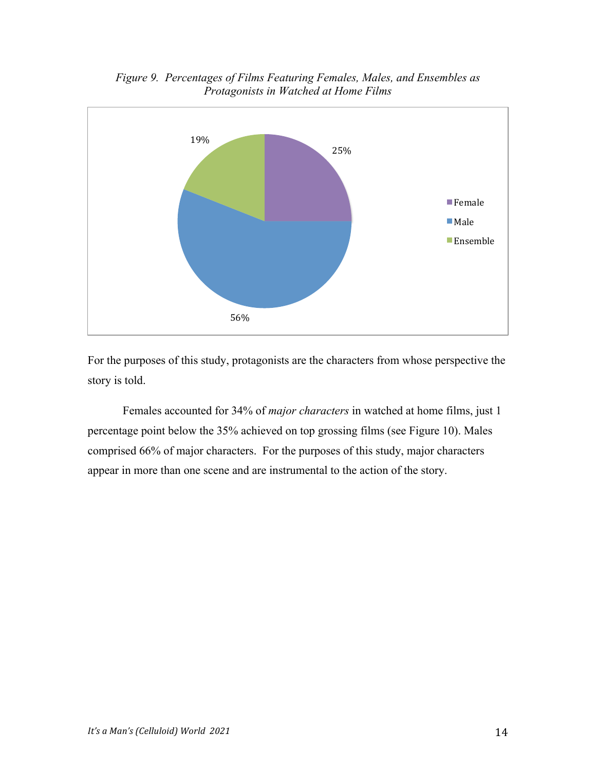

*Figure 9. Percentages of Films Featuring Females, Males, and Ensembles as Protagonists in Watched at Home Films*

For the purposes of this study, protagonists are the characters from whose perspective the story is told.

Females accounted for 34% of *major characters* in watched at home films, just 1 percentage point below the 35% achieved on top grossing films (see Figure 10). Males comprised 66% of major characters. For the purposes of this study, major characters appear in more than one scene and are instrumental to the action of the story.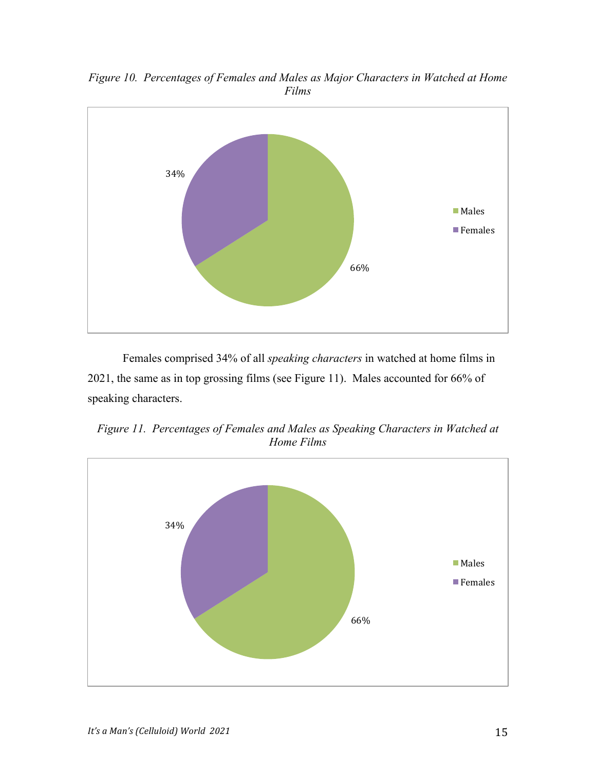

*Figure 10. Percentages of Females and Males as Major Characters in Watched at Home Films*

Females comprised 34% of all *speaking characters* in watched at home films in 2021, the same as in top grossing films (see Figure 11). Males accounted for 66% of speaking characters.

*Figure 11. Percentages of Females and Males as Speaking Characters in Watched at Home Films*

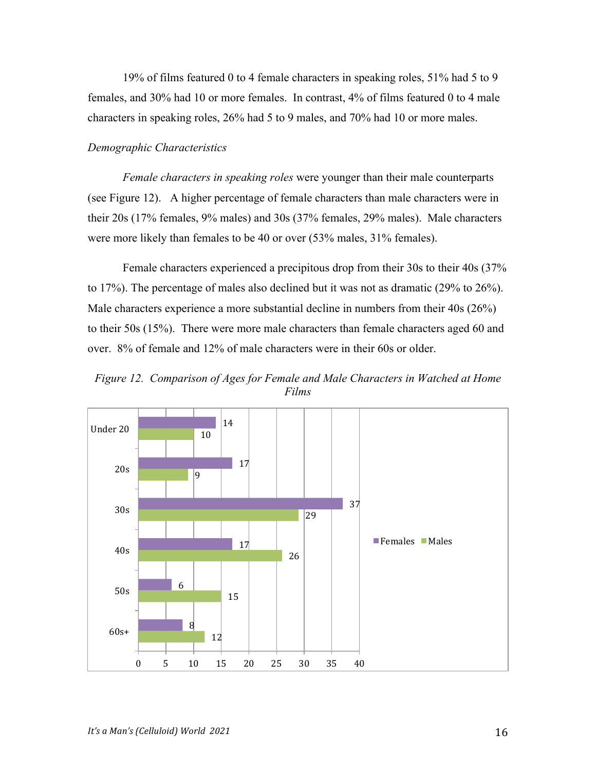19% of films featured 0 to 4 female characters in speaking roles, 51% had 5 to 9 females, and 30% had 10 or more females. In contrast, 4% of films featured 0 to 4 male characters in speaking roles, 26% had 5 to 9 males, and 70% had 10 or more males.

#### *Demographic Characteristics*

*Female characters in speaking roles* were younger than their male counterparts (see Figure 12). A higher percentage of female characters than male characters were in their 20s (17% females, 9% males) and 30s (37% females, 29% males). Male characters were more likely than females to be 40 or over (53% males, 31% females).

Female characters experienced a precipitous drop from their 30s to their 40s (37% to 17%). The percentage of males also declined but it was not as dramatic (29% to 26%). Male characters experience a more substantial decline in numbers from their 40s (26%) to their 50s (15%). There were more male characters than female characters aged 60 and over. 8% of female and 12% of male characters were in their 60s or older.

*Figure 12. Comparison of Ages for Female and Male Characters in Watched at Home Films*

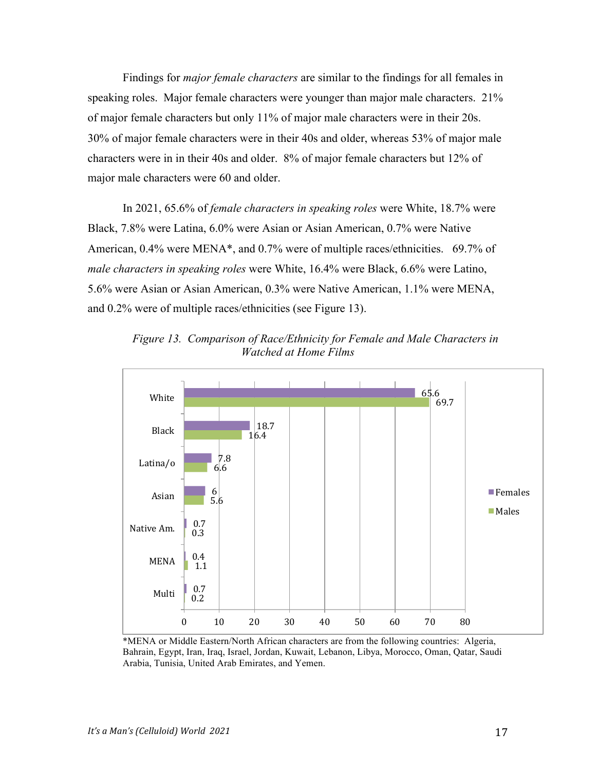Findings for *major female characters* are similar to the findings for all females in speaking roles. Major female characters were younger than major male characters. 21% of major female characters but only 11% of major male characters were in their 20s. 30% of major female characters were in their 40s and older, whereas 53% of major male characters were in in their 40s and older. 8% of major female characters but 12% of major male characters were 60 and older.

In 2021, 65.6% of *female characters in speaking roles* were White, 18.7% were Black, 7.8% were Latina, 6.0% were Asian or Asian American, 0.7% were Native American, 0.4% were MENA\*, and 0.7% were of multiple races/ethnicities. 69.7% of *male characters in speaking roles* were White, 16.4% were Black, 6.6% were Latino, 5.6% were Asian or Asian American, 0.3% were Native American, 1.1% were MENA, and 0.2% were of multiple races/ethnicities (see Figure 13).



*Figure 13. Comparison of Race/Ethnicity for Female and Male Characters in Watched at Home Films*

\*MENA or Middle Eastern/North African characters are from the following countries: Algeria, Bahrain, Egypt, Iran, Iraq, Israel, Jordan, Kuwait, Lebanon, Libya, Morocco, Oman, Qatar, Saudi Arabia, Tunisia, United Arab Emirates, and Yemen.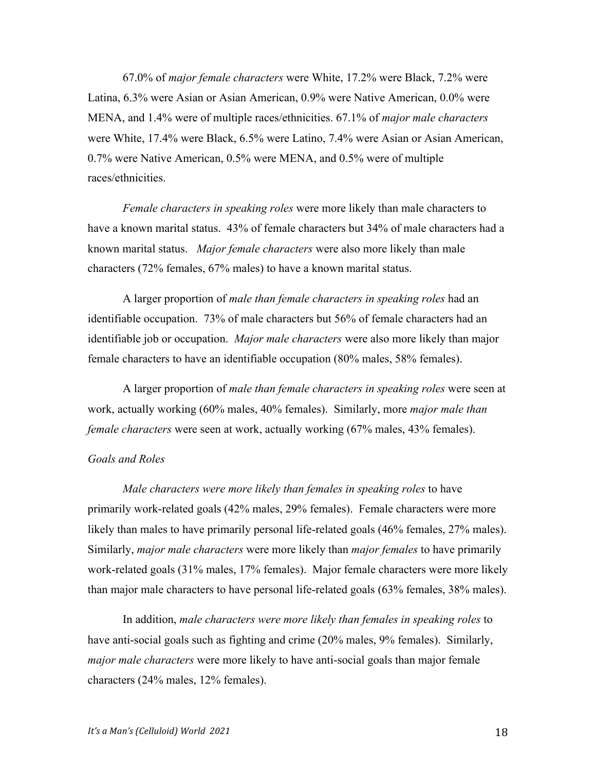67.0% of *major female characters* were White, 17.2% were Black, 7.2% were Latina, 6.3% were Asian or Asian American, 0.9% were Native American, 0.0% were MENA, and 1.4% were of multiple races/ethnicities. 67.1% of *major male characters* were White, 17.4% were Black, 6.5% were Latino, 7.4% were Asian or Asian American, 0.7% were Native American, 0.5% were MENA, and 0.5% were of multiple races/ethnicities.

*Female characters in speaking roles* were more likely than male characters to have a known marital status. 43% of female characters but 34% of male characters had a known marital status. *Major female characters* were also more likely than male characters (72% females, 67% males) to have a known marital status.

A larger proportion of *male than female characters in speaking roles* had an identifiable occupation. 73% of male characters but 56% of female characters had an identifiable job or occupation. *Major male characters* were also more likely than major female characters to have an identifiable occupation (80% males, 58% females).

A larger proportion of *male than female characters in speaking roles* were seen at work, actually working (60% males, 40% females). Similarly, more *major male than female characters* were seen at work, actually working (67% males, 43% females).

#### *Goals and Roles*

*Male characters were more likely than females in speaking roles* to have primarily work-related goals (42% males, 29% females). Female characters were more likely than males to have primarily personal life-related goals (46% females, 27% males). Similarly, *major male characters* were more likely than *major females* to have primarily work-related goals (31% males, 17% females). Major female characters were more likely than major male characters to have personal life-related goals (63% females, 38% males).

In addition, *male characters were more likely than females in speaking roles* to have anti-social goals such as fighting and crime (20% males, 9% females). Similarly, *major male characters* were more likely to have anti-social goals than major female characters (24% males, 12% females).